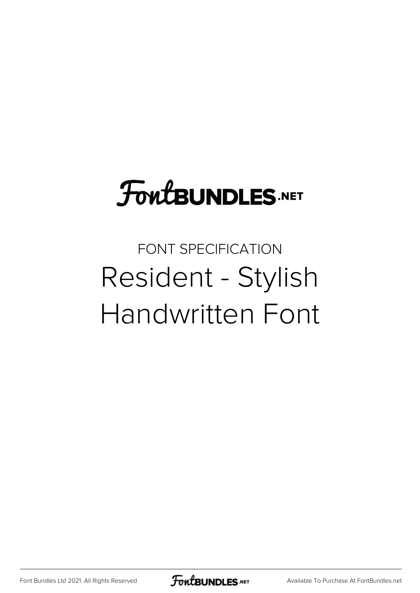## FoutBUNDLES.NET

## FONT SPECIFICATION Resident - Stylish Handwritten Font

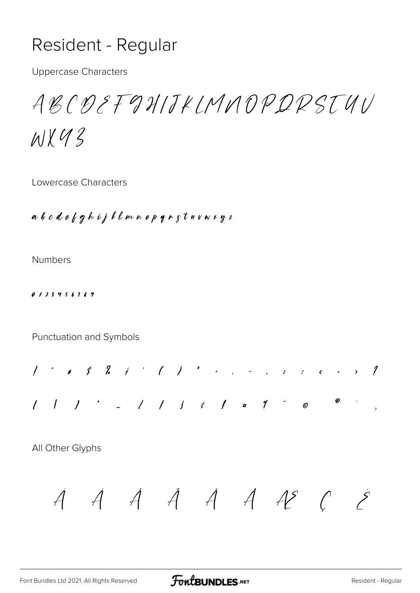## Resident - Regular

**Uppercase Characters** 

ABCDEFGHIJKLMNOPDRSTUV

 $M\times U$ 

Lowercase Characters

abodefghijklmnopqrstuvwrgz

**Numbers** 

 $0123456189$ 

Punctuation and Symbols



All Other Glyphs

 $\dot{A}$   $\dot{A}$   $\dot{A}$   $\dot{A}$   $\dot{A}$   $\dot{A}$   $\dot{A}$   $\dot{C}$   $\dot{S}$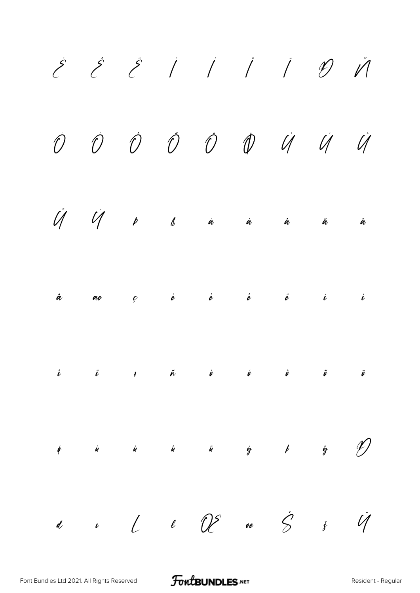